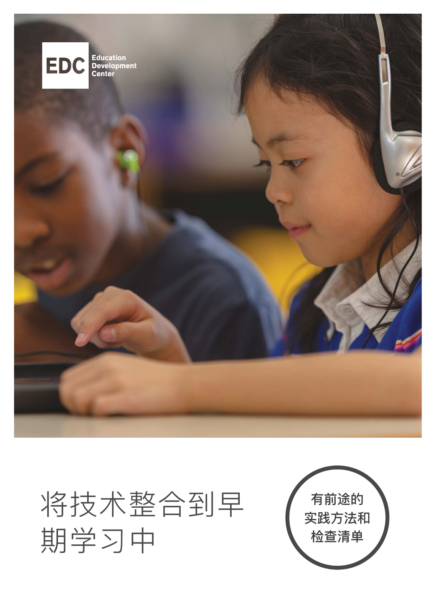

## 将技术整合到早 期学习中

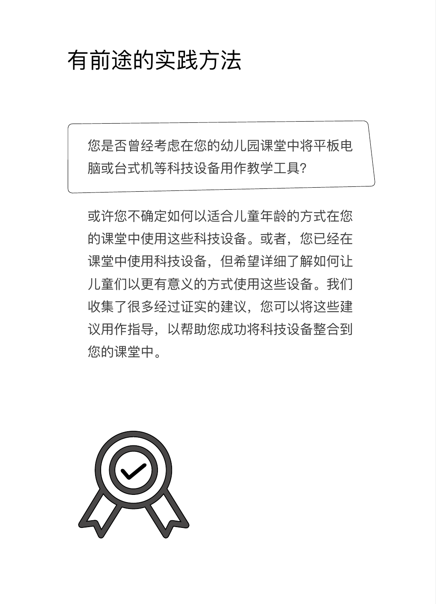### 有前途的实践方法

您是否曾经考虑在您的幼儿园课堂中将平板电 脑或台式机等科技设备用作教学工具?

或许您不确定如何以适合儿童年龄的方式在您 的课堂中使用这些科技设备。或者,您已经在 课堂中使用科技设备,但希望详细了解如何让 儿童们以更有意义的方式使用这些设备。我们 收集了很多经过证实的建议,您可以将这些建 议用作指导,以帮助您成功将科技设备整合到 您的课堂中。

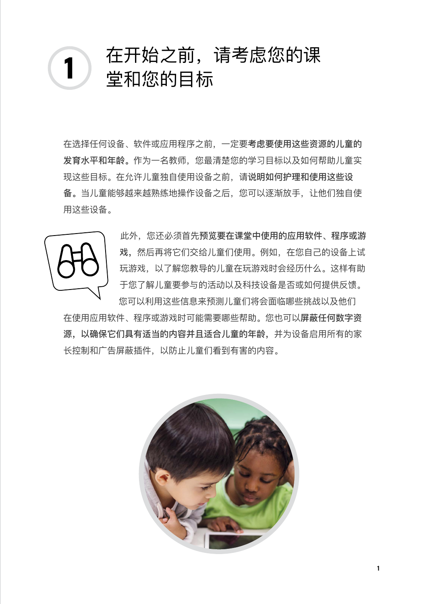# 在开始之前,请考虑您的课 **1** 堂和您的目标

在选择任何设备、软件或应用程序之前,一定要考虑要使用这些资源的儿童的 发育水平和年龄。作为一名教师,您最清楚您的学习目标以及如何帮助儿童实 现这些目标。在允许儿童独自使用设备之前,请说明如何护理和使用这些设 备。当儿童能够越来越熟练地操作设备之后,您可以逐渐放手,让他们独自使 用这些设备。



此外,您还必须首先预览要在课堂中使用的应用软件、程序或游 戏,然后再将它们交给儿童们使用。例如,在您自己的设备上试 玩游戏,以了解您教导的儿童在玩游戏时会经历什么。这样有助 于您了解儿童要参与的活动以及科技设备是否或如何提供反馈。 您可以利用这些信息来预测儿童们将会面临哪些挑战以及他们

在使用应用软件、程序或游戏时可能需要哪些帮助。您也可以屏蔽任何数字资 源,以确保它们具有适当的内容并且适合儿童的年龄,并为设备启用所有的家 长控制和广告屏蔽插件,以防止儿童们看到有害的内容。

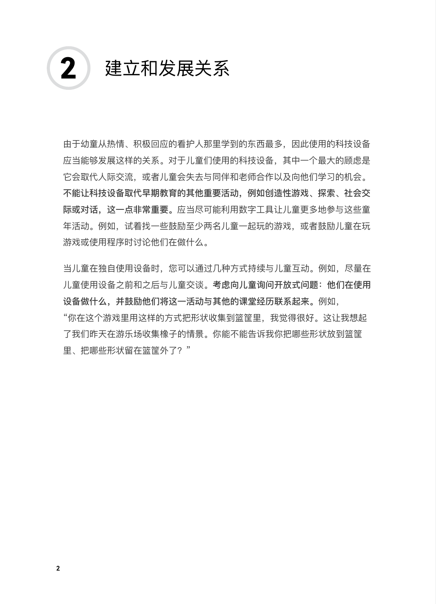

由于幼童从热情、积极回应的看护人那里学到的东西最多,因此使用的科技设备 应当能够发展这样的关系。对于儿童们使用的科技设备,其中一个最大的顾虑是 它会取代人际交流,或者儿童会失去与同伴和老师合作以及向他们学习的机会。 不能让科技设备取代早期教育的其他重要活动,例如创造性游戏、探索、社会交 际或对话,这一点非常重要。应当尽可能利用数字工具让儿童更多地参与这些童 年活动。例如,试着找一些鼓励至少两名儿童一起玩的游戏,或者鼓励儿童在玩 游戏或使用程序时讨论他们在做什么。

当儿童在独自使用设备时,您可以通过几种方式持续与儿童互动。例如,尽量在 儿童使用设备之前和之后与儿童交谈。考虑向儿童询问开放式问题:他们在使用 设备做什么,并鼓励他们将这一活动与其他的课堂经历联系起来。例如, "你在这个游戏里用这样的方式把形状收集到篮筐里,我觉得很好。这让我想起 了我们昨天在游乐场收集橡子的情景。你能不能告诉我你把哪些形状放到篮筐 里、把哪些形状留在篮筐外了?"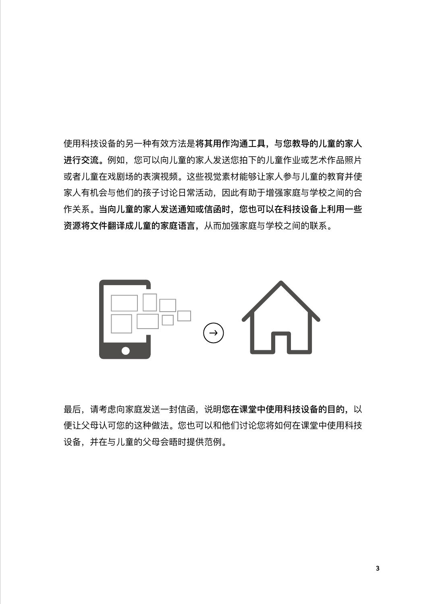使用科技设备的另一种有效方法是将其用作沟通工具,与您教导的儿童的家人 进行交流。例如,您可以向儿童的家人发送您拍下的儿童作业或艺术作品照片 或者儿童在戏剧场的表演视频。这些视觉素材能够让家人参与儿童的教育并使 家人有机会与他们的孩子讨论日常活动,因此有助于增强家庭与学校之间的合 作关系。当向儿童的家人发送通知或信函时,您也可以在科技设备上利用一些 资源将文件翻译成儿童的家庭语言,从而加强家庭与学校之间的联系。



最后,请考虑向家庭发送一封信函,说明您在课堂中使用科技设备的目的,以 便让父母认可您的这种做法。您也可以和他们讨论您将如何在课堂中使用科技 设备,并在与儿童的父母会晤时提供范例。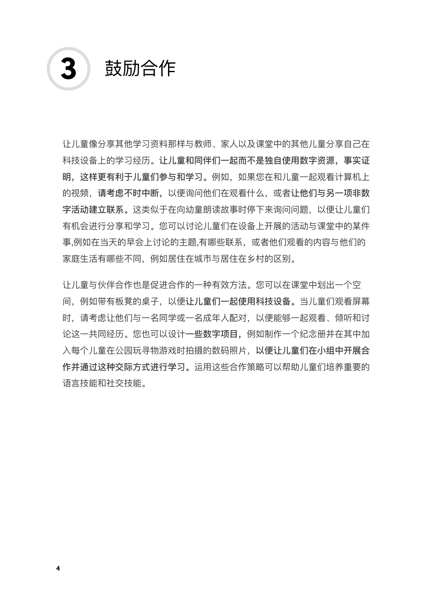

让儿童像分享其他学习资料那样与教师、家人以及课堂中的其他儿童分享自己在 科技设备上的学习经历。让儿童和同伴们一起而不是独自使用数字资源,事实证 明,这样更有利于儿童们参与和学习。例如,如果您在和儿童一起观看计算机上 的视频,请考虑不时中断,以便询问他们在观看什么,或者让他们与另一项非数 字活动建立联系。这类似于在向幼童朗读故事时停下来询问问题,以便让儿童们 有机会进行分享和学习。您可以讨论儿童们在设备上开展的活动与课堂中的某件 事,例如在当天的早会上讨论的主题,有哪些联系,或者他们观看的内容与他们的 家庭生活有哪些不同,例如居住在城市与居住在乡村的区别。

让儿童与伙伴合作也是促进合作的一种有效方法。您可以在课堂中划出一个空 间,例如带有板凳的桌子,以便让儿童们一起使用科技设备。当儿童们观看屏幕 时,请考虑让他们与一名同学或一名成年人配对,以便能够一起观看、倾听和讨 论这一共同经历。您也可以设计一些数字项目,例如制作一个纪念册并在其中加 入每个儿童在公园玩寻物游戏时拍摄的数码照片,以便让儿童们在小组中开展合 作并通过这种交际方式进行学习。运用这些合作策略可以帮助儿童们培养重要的 语言技能和社交技能。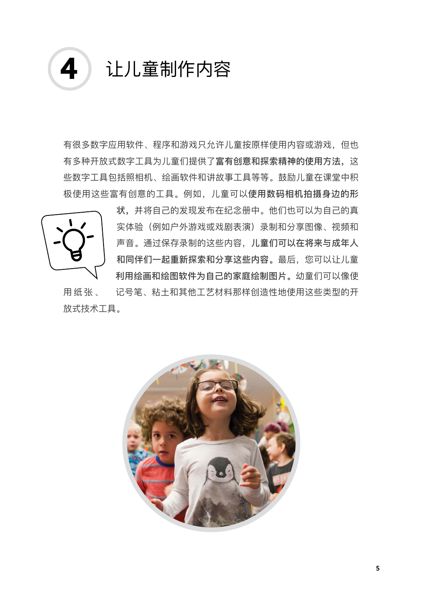

有很多数字应用软件、程序和游戏只允许儿童按原样使用内容或游戏,但也 有多种开放式数字工具为儿童们提供了富有创意和探索精神的使用方法,这 些数字工具包括照相机、绘画软件和讲故事工具等等。鼓励儿童在课堂中积 极使用这些富有创意的工具。例如,儿童可以使用数码相机拍摄身边的形



状,并将自己的发现发布在纪念册中。他们也可以为自己的真 实体验(例如户外游戏或戏剧表演)录制和分享图像、视频和 声音。通过保存录制的这些内容,儿童们可以在将来与成年人 和同伴们一起重新探索和分享这些内容。最后,您可以让儿童 利用绘画和绘图软件为自己的家庭绘制图片。幼童们可以像使 用纸张、 记号笔、粘土和其他工艺材料那样创造性地使用这些类型的开

放式技术工具。

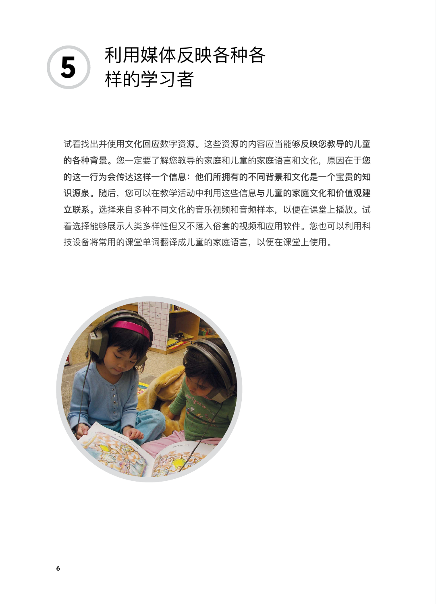

试着找出并使用文化回应数字资源。这些资源的内容应当能够反映您教导的儿童 的各种背景。您一定要了解您教导的家庭和儿童的家庭语言和文化,原因在于您 的这一行为会传达这样一个信息:他们所拥有的不同背景和文化是一个宝贵的知 识源泉。随后,您可以在教学活动中利用这些信息与儿童的家庭文化和价值观建 立联系。选择来自多种不同文化的音乐视频和音频样本,以便在课堂上播放。试 着选择能够展示人类多样性但又不落入俗套的视频和应用软件。您也可以利用科 技设备将常用的课堂单词翻译成儿童的家庭语言,以便在课堂上使用。

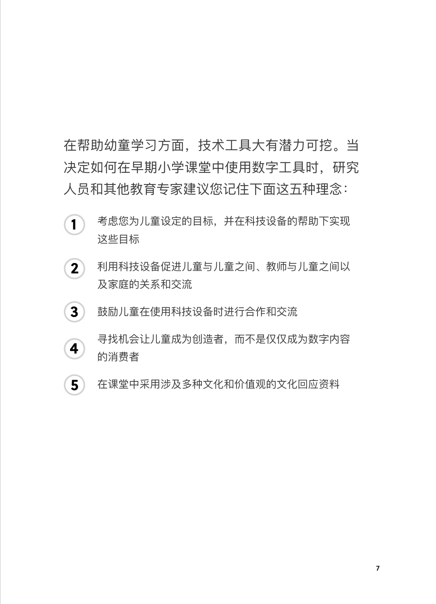在帮助幼童学习方面,技术工具大有潜力可挖。当 决定如何在早期小学课堂中使用数字工具时,研究 人员和其他教育专家建议您记住下面这五种理念:

- 考虑您为儿童设定的目标,并在科技设备的帮助下实现 这些目标 **1**
- 利用科技设备促进儿童与儿童之间、教师与儿童之间以 及家庭的关系和交流 **2**
- 鼓励儿童在使用科技设备时进行合作和交流 **3**
- 寻找机会让儿童成为创造者,而不是仅仅成为数字内容 的消费者 **4**
- 在课堂中采用涉及多种文化和价值观的文化回应资料 **5**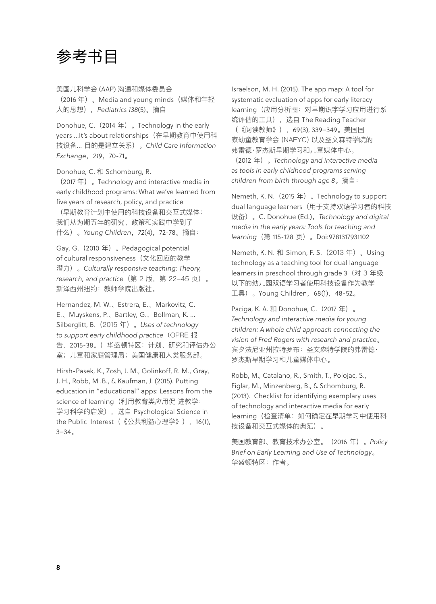#### 参考书目

美国儿科学会 (AAP) 沟通和媒体委员会 (2016 年)。Media and young minds(媒体和年轻 人的思想),*Pediatrics 138*(5)。摘自

Donohue, C.(2014 年)。Technology in the early years ...It's about relationships(在早期教育中使用科 技设备... 目的是建立关系)。*Child Care Information Exchange*,*219*,70-71。

Donohue, C. 和 Schomburg, R.

(2017 年)。Technology and interactive media in early childhood programs: What we've learned from five years of research, policy, and practice

(早期教育计划中使用的科技设备和交互式媒体: 我们从为期五年的研究、政策和实践中学到了 什么)。*Young Children*,*72*(4),72-78。摘自:

Gay, G.(2010 年)。Pedagogical potential of cultural responsiveness(文化回应的教学 潜力)。*Culturally responsive teaching: Theory, research, and practice*(第 2 版,第 22-45 页)。 新泽西州纽约:教师学院出版社。

Hernandez, M. W.、Estrera, E.、Markovitz, C. E.、Muyskens, P.、Bartley, G.、Bollman, K. ... Silberglitt, B.(2015 年)。*Uses of technology to support early childhood practice*(OPRE 报 告,2015-38。)华盛顿特区:计划、研究和评估办公 室;儿童和家庭管理局;美国健康和人类服务部。

Hirsh-Pasek, K., Zosh, J. M., Golinkoff, R. M., Gray, J. H., Robb, M .B., & Kaufman, J. (2015). Putting education in "educational" apps: Lessons from the science of learning (利用教育类应用促 进教学: 学习科学的启发), 选自 Psychological Science in the Public Interest(《公共利益心理学》),16(1), 3–34。

Israelson, M. H. (2015). The app map: A tool for systematic evaluation of apps for early literacy learning(应用分析图:对早期识字学习应用进行系 统评估的工具),选自 The Reading Teacher

(《阅读教师》),69(3), 339–349。美国国 家幼童教育学会 (NAEYC) 以及圣文森特学院的 弗雷德·罗杰斯早期学习和儿童媒体中心。

(2012 年)。*Technology and interactive media as tools in early childhood programs serving children from birth through age 8*。摘自:

Nemeth, K. N.(2015 年)。Technology to support dual language learners(用于支持双语学习者的科技 设备)。C. Donohue (Ed.),*Technology and digital media in the early years: Tools for teaching and learning*(第 115-128 页)。Doi:9781317931102

Nemeth, K. N. 和 Simon, F. S.(2013 年)。Using technology as a teaching tool for dual language learners in preschool through grade 3(对 3 年级 以下的幼儿园双语学习者使用科技设备作为教学 工具)。Young Children,68(1),48-52。

Paciga, K. A. 和 Donohue, C. (2017年)。 *Technology and interactive media for young children: A whole child approach connecting the vision of Fred Rogers with research and practice*。 宾夕法尼亚州拉特罗布:圣文森特学院的弗雷德· 罗杰斯早期学习和儿童媒体中心。

Robb, M., Catalano, R., Smith, T., Polojac, S., Figlar, M., Minzenberg, B., & Schomburg, R. (2013). Checklist for identifying exemplary uses of technology and interactive media for early learning(检查清单:如何确定在早期学习中使用科 技设备和交互式媒体的典范)。

美国教育部、教育技术办公室。(2016 年)。*Policy Brief on Early Learning and Use of Technology*。 华盛顿特区:作者。